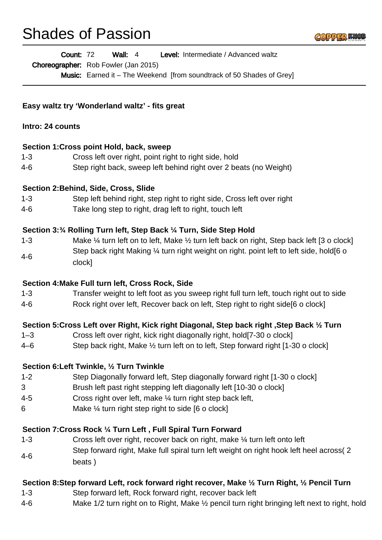# Shades of Passion

Wall: 4 Level: Intermediate / Advanced waltz Count: 72

Choreographer: Rob Fowler (Jan 2015)

Music: Earned it – The Weekend [from soundtrack of 50 Shades of Grey]

#### **Easy waltz try 'Wonderland waltz' - fits great**

#### **Intro: 24 counts**

#### **Section 1:Cross point Hold, back, sweep**

- 1-3 Cross left over right, point right to right side, hold
- 4-6 Step right back, sweep left behind right over 2 beats (no Weight)

## **Section 2:Behind, Side, Cross, Slide**

- 1-3 Step left behind right, step right to right side, Cross left over right
- 4-6 Take long step to right, drag left to right, touch left

#### **Section 3:¾ Rolling Turn left, Step Back ¼ Turn, Side Step Hold**

1-3 Make ¼ turn left on to left, Make ½ turn left back on right, Step back left [3 o clock] 4-6 Step back right Making 1/4 turn right weight on right. point left to left side, hold[6 o clock]

#### **Section 4:Make Full turn left, Cross Rock, Side**

- 1-3 Transfer weight to left foot as you sweep right full turn left, touch right out to side
- 4-6 Rock right over left, Recover back on left, Step right to right side[6 o clock]

# **Section 5:Cross Left over Right, Kick right Diagonal, Step back right ,Step Back ½ Turn**

- 1–3 Cross left over right, kick right diagonally right, hold[7-30 o clock]
- 4–6 Step back right, Make ½ turn left on to left, Step forward right [1-30 o clock]

#### **Section 6:Left Twinkle, ½ Turn Twinkle**

- 1-2 Step Diagonally forward left, Step diagonally forward right [1-30 o clock]
- 3 Brush left past right stepping left diagonally left [10-30 o clock]
- 4-5 Cross right over left, make ¼ turn right step back left,
- 6 Make ¼ turn right step right to side [6 o clock]

# **Section 7:Cross Rock ¼ Turn Left , Full Spiral Turn Forward**

1-3 Cross left over right, recover back on right, make ¼ turn left onto left 4-6 Step forward right, Make full spiral turn left weight on right hook left heel across( 2 beats )

# **Section 8:Step forward Left, rock forward right recover, Make ½ Turn Right, ½ Pencil Turn**

- 1-3 Step forward left, Rock forward right, recover back left
- 4-6 Make 1/2 turn right on to Right, Make ½ pencil turn right bringing left next to right, hold